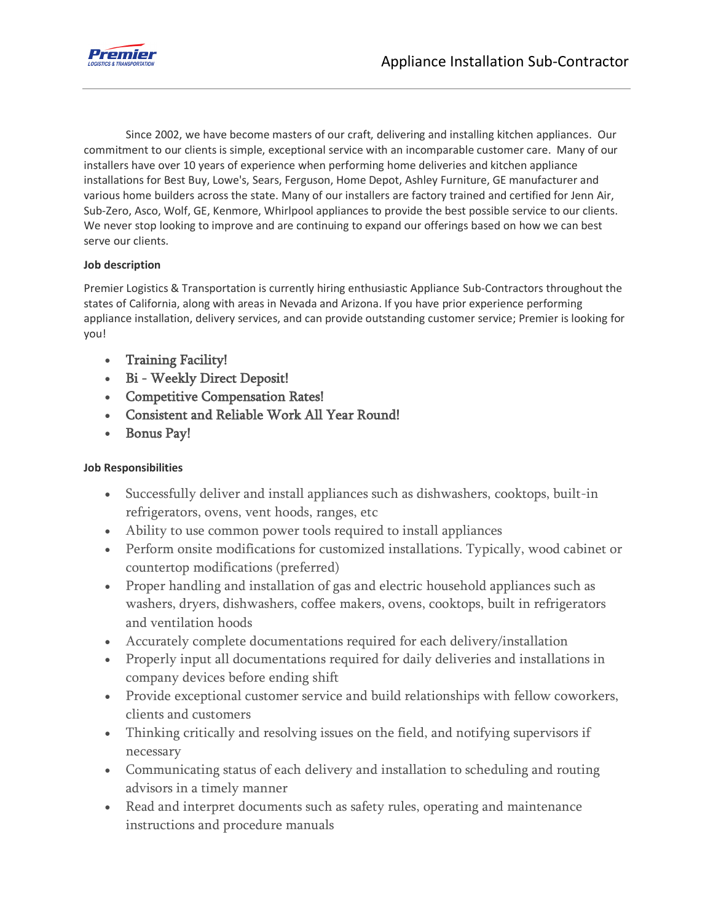

Since 2002, we have become masters of our craft, delivering and installing kitchen appliances. Our commitment to our clients is simple, exceptional service with an incomparable customer care. Many of our installers have over 10 years of experience when performing home deliveries and kitchen appliance installations for Best Buy, Lowe's, Sears, Ferguson, Home Depot, Ashley Furniture, GE manufacturer and various home builders across the state. Many of our installers are factory trained and certified for Jenn Air, Sub-Zero, Asco, Wolf, GE, Kenmore, Whirlpool appliances to provide the best possible service to our clients. We never stop looking to improve and are continuing to expand our offerings based on how we can best serve our clients.

## **Job description**

Premier Logistics & Transportation is currently hiring enthusiastic Appliance Sub-Contractors throughout the states of California, along with areas in Nevada and Arizona. If you have prior experience performing appliance installation, delivery services, and can provide outstanding customer service; Premier is looking for you!

- Training Facility!
- Bi Weekly Direct Deposit!
- Competitive Compensation Rates!
- Consistent and Reliable Work All Year Round!
- Bonus Pay!

## **Job Responsibilities**

- Successfully deliver and install appliances such as dishwashers, cooktops, built-in refrigerators, ovens, vent hoods, ranges, etc
- Ability to use common power tools required to install appliances
- Perform onsite modifications for customized installations. Typically, wood cabinet or countertop modifications (preferred)
- Proper handling and installation of gas and electric household appliances such as washers, dryers, dishwashers, coffee makers, ovens, cooktops, built in refrigerators and ventilation hoods
- Accurately complete documentations required for each delivery/installation
- Properly input all documentations required for daily deliveries and installations in company devices before ending shift
- Provide exceptional customer service and build relationships with fellow coworkers, clients and customers
- Thinking critically and resolving issues on the field, and notifying supervisors if necessary
- Communicating status of each delivery and installation to scheduling and routing advisors in a timely manner
- Read and interpret documents such as safety rules, operating and maintenance instructions and procedure manuals